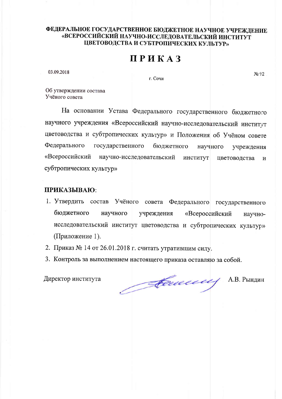## ФЕДЕРАЛЬНОЕ ГОСУДАРСТВЕННОЕ БЮДЖЕТНОЕ НАУЧНОЕ УЧРЕЖДЕНИЕ «ВСЕРОССИЙСКИЙ НАУЧНО-ИССЛЕДОВАТЕЛЬСКИЙ ИНСТИТУТ ЦВЕТОВОДСТВА И СУБТРОПИЧЕСКИХ КУЛЬТУР»

## ПРИКАЗ

03.09.2018

г. Сочи

 $N_2$  92

Об утверждении состава Учёного совета

На основании Устава Федерального государственного бюджетного научного учреждения «Всероссийский научно-исследовательский институт цветоводства и субтропических культур» и Положения об Учёном совете Федерального государственного бюджетного научного учреждения «Всероссийский научно-исследовательский ИНСТИТУТ цветоводства  $\overline{M}$ субтропических культур»

## ПРИКАЗЫВАЮ:

- 1. Утвердить состав Учёного совета Федерального государственного бюджетного научного учреждения «Всероссийский научноисследовательский институт цветоводства и субтропических культур» (Приложение 1).
- 2. Приказ № 14 от 26.01.2018 г. считать утратившим силу.
- 3. Контроль за выполнением настоящего приказа оставляю за собой.

Директор института

Comme

А.В. Рындин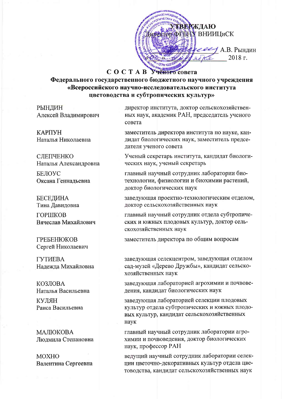**КВЕРЖДАЮ STOD DIVELLY BHIMMINCK** eed A.B. Рынлин 2018 г.

## COCTAB Ученого совета

Федерального государственного бюджетного научного учреждения «Всероссийского научно-исследовательского института цветоводства и субтропических культур»

РЫНДИН Алексей Владимирович

КАРПУН Наталья Николаевна

СЛЕПЧЕНКО Наталья Александровна

БЕЛОУС Оксана Геннальевна

**БЕСЕДИНА** Тина Давидовна

**ГОРШКОВ** Вячеслав Михайлович

**ГРЕБЕНЮКОВ** Сергей Николаевич

**ГУТИЕВА** Надежда Михайловна

КОЗЛОВА Наталья Васильевна

КУЛЯН Раиса Васильевна

МАЛЮКОВА Людмила Степановна

**MOXHO** Валентина Сергеевна директор института, доктор сельскохозяйственных наук, академик РАН, председатель ученого совета

заместитель директора института по науке, кандидат биологических наук, заместитель председателя ученого совета

Ученый секретарь института, кандидат биологических наук, ученый секретарь

главный научный сотрудник лаборатории биотехнологии, физиологии и биохимии растений, доктор биологических наук

заведующая проектно-технологическим отделом, доктор сельскохозяйственных наук

главный научный сотрудник отдела субтропических и южных плодовых культур, доктор сельскохозяйственных наук

заместитель директора по общим вопросам

заведующая селекцентром, заведующая отделом сад-музей «Дерево Дружбы», кандидат сельскохозяйственных наук

заведующая лабораторией агрохимии и почвоведения, кандидат биологических наук

заведующая лабораторией селекции плодовых культур отдела субтропических и южных плодовых культур, кандидат сельскохозяйственных наук

главный научный сотрудник лаборатории агрохимии и почвоведения, доктор биологических наук, профессор РАН

ведущий научный сотрудник лаборатории селекции цветочно-декоративных культур отдела цветоводства, кандидат сельскохозяйственных наук